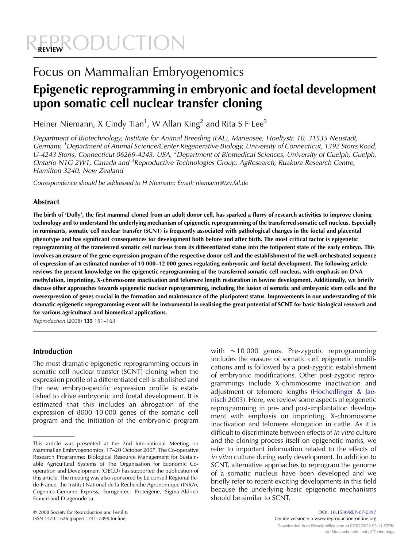## Focus on Mammalian Embryogenomics

# Epigenetic reprogramming in embryonic and foetal development upon somatic cell nuclear transfer cloning

Heiner Niemann, X Cindy Tian<sup>1</sup>, W Allan King<sup>2</sup> and Rita S F Lee<sup>3</sup>

Department of Biotechnology, Institute for Animal Breeding (FAL), Mariensee, Hoeltystr. 10, 31535 Neustadt, Germany, <sup>1</sup> Department of Animal Science/Center Regenerative Biology, University of Connecticut, 1392 Storrs Road, U-4243 Storrs, Connecticut 06269-4243, USA, <sup>2</sup> Department of Biomedical Sciences, University of Guelph, Guelph, Ontario N1G 2W1, Canada and <sup>3</sup> Reproductive Technologies Group, AgResearch, Ruakura Research Centre, Hamilton 3240, New Zealand

Correspondence should be addressed to H Niemann; Email: niemann@tzv.fal.de

## Abstract

The birth of 'Dolly', the first mammal cloned from an adult donor cell, has sparked a flurry of research activities to improve cloning technology and to understand the underlying mechanism of epigenetic reprogramming of the transferred somatic cell nucleus. Especially in ruminants, somatic cell nuclear transfer (SCNT) is frequently associated with pathological changes in the foetal and placental phenotype and has significant consequences for development both before and after birth. The most critical factor is epigenetic reprogramming of the transferred somatic cell nucleus from its differentiated status into the totipotent state of the early embryo. This involves an erasure of the gene expression program of the respective donor cell and the establishment of the well-orchestrated sequence of expression of an estimated number of 10 000–12 000 genes regulating embryonic and foetal development. The following article reviews the present knowledge on the epigenetic reprogramming of the transferred somatic cell nucleus, with emphasis on DNA methylation, imprinting, X-chromosome inactivation and telomere length restoration in bovine development. Additionally, we briefly discuss other approaches towards epigenetic nuclear reprogramming, including the fusion of somatic and embryonic stem cells and the overexpression of genes crucial in the formation and maintenance of the pluripotent status. Improvements in our understanding of this dramatic epigenetic reprogramming event will be instrumental in realising the great potential of SCNT for basic biological research and for various agricultural and biomedical applications.

Reproduction (2008) 135 151–163

### Introduction

The most dramatic epigenetic reprogramming occurs in somatic cell nuclear transfer (SCNT) cloning when the expression profile of a differentiated cell is abolished and the new embryo-specific expression profile is established to drive embryonic and foetal development. It is estimated that this includes an abrogation of the expression of 8000–10 000 genes of the somatic cell program and the initiation of the embryonic program

includes the erasure of somatic cell epigenetic modifications and is followed by a post-zygotic establishment of embryonic modifications. Other post-zygotic reprogrammings include X-chromosome inactivation and adjustment of telomere lengths ([Hochedlinger & Jae](#page-10-0)[nisch 2003\)](#page-10-0). Here, we review some aspects of epigenetic reprogramming in pre- and post-implantation development with emphasis on imprinting, X-chromosome inactivation and telomere elongation in cattle. As it is difficult to discriminate between effects of in vitro culture and the cloning process itself on epigenetic marks, we refer to important information related to the effects of in vitro culture during early development. In addition to SCNT, alternative approaches to reprogram the genome of a somatic nucleus have been developed and we briefly refer to recent exciting developments in this field because the underlying basic epigenetic mechanisms should be similar to SCNT.

with  $\sim$  10 000 genes. Pre-zygotic reprogramming

This article was presented at the 2nd International Meeting on Mammalian Embryogenomics, 17–20 October 2007. The Co-operative Research Programme: Biological Resource Management for Sustainable Agricultural Systems of The Organisation for Economic Cooperation and Development (OECD) has supported the publication of this article. The meeting was also sponsored by Le conseil Régional Ilede-France, the Institut National de la Recherche Agronomique (INRA), Cogenics-Genome Express, Eurogentec, Proteigene, Sigma-Aldrich France and Diagenode sa.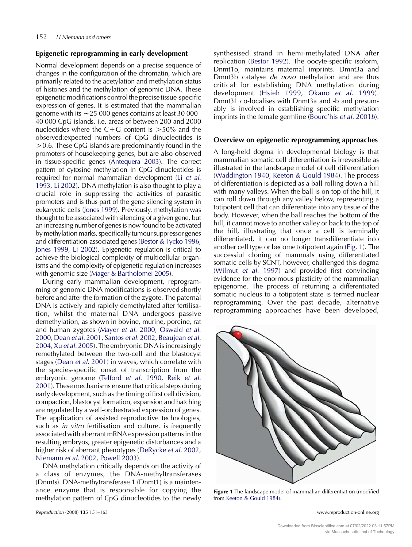#### Epigenetic reprogramming in early development

Normal development depends on a precise sequence of changes in the configuration of the chromatin, which are primarily related to the acetylation and methylation status of histones and the methylation of genomic DNA. These epigenetic modifications control the precise tissue-specific expression of genes. It is estimated that the mammalian genome with its  $\sim$  25 000 genes contains at least 30 000– 40 000 CpG islands, i.e. areas of between 200 and 2000 nucleotides where the C+G content is  $>50\%$  and the observed:expected numbers of CpG dinucleotides is  $>$  0.6. These CpG islands are predominantly found in the promoters of housekeeping genes, but are also observed in tissue-specific genes [\(Antequera 2003\)](#page-9-0). The correct pattern of cytosine methylation in CpG dinucleotides is required for normal mammalian development (Li [et al](#page-11-0). [1993,](#page-11-0) [Li 2002\)](#page-11-0). DNA methylation is also thought to play a crucial role in suppressing the activities of parasitic promoters and is thus part of the gene silencing system in eukaryotic cells [\(Jones 1999](#page-10-0)). Previously, methylation was thought to be associated with silencing of a given gene, but an increasing number of genes is now found to be activated by methylation marks, specifically tumour suppressor genes and differentiation-associated genes ([Bestor & Tycko 1996,](#page-9-0) [Jones 1999,](#page-10-0) [Li 2002](#page-11-0)). Epigenetic regulation is critical to achieve the biological complexity of multicellular organisms and the complexity of epigenetic regulation increases with genomic size ([Mager & Bartholomei 2005\)](#page-11-0).

During early mammalian development, reprogramming of genomic DNA modifications is observed shortly before and after the formation of the zygote. The paternal DNA is actively and rapidly demethylated after fertilisation, whilst the maternal DNA undergoes passive demethylation, as shown in bovine, murine, porcine, rat and human zygotes (Mayer et al[. 2000](#page-11-0), [Oswald](#page-11-0) et al. [2000,](#page-11-0) Dean et al[. 2001,](#page-10-0) [Santos](#page-11-0) et al. 2002, [Beaujean](#page-9-0) et al. [2004,](#page-9-0) Xu et al[. 2005\)](#page-12-0). The embryonic DNA is increasingly remethylated between the two-cell and the blastocyst stages (Dean et al[. 2001](#page-10-0)) in waves, which correlate with the species-specific onset of transcription from the embryonic genome ([Telford](#page-12-0) et al. 1990, Reik [et al](#page-11-0). [2001\)](#page-11-0). These mechanisms ensure that critical steps during early development, such as the timing offirst cell division, compaction, blastocyst formation, expansion and hatching are regulated by a well-orchestrated expression of genes. The application of assisted reproductive technologies, such as *in vitro* fertilisation and culture, is frequently associated with aberrant mRNA expression patterns in the resulting embryos, greater epigenetic disturbances and a higher risk of aberrant phenotypes [\(DeRycke](#page-10-0) *et al.* 2002, [Niemann](#page-11-0) et al. 2002, [Powell 2003](#page-11-0)).

DNA methylation critically depends on the activity of a class of enzymes, the DNA-methyltransferases (Dnmts). DNA-methytransferase 1 (Dnmt1) is a maintenance enzyme that is responsible for copying the methylation pattern of CpG dinucleotides to the newly synthesised strand in hemi-methylated DNA after replication ([Bestor 1992](#page-9-0)). The oocyte-specific isoform, Dnmt1o, maintains maternal imprints. Dmnt3a and Dmnt3b catalyse de novo methylation and are thus critical for establishing DNA methylation during development ([Hsieh 1999](#page-10-0), Okano et al[. 1999\)](#page-11-0). Dmnt3L co-localises with Dnmt3a and -b and presumably is involved in establishing specific methylation imprints in the female germline ([Bourc'his](#page-10-0) et al. 2001b).

#### Overview on epigenetic reprogramming approaches

A long-held dogma in developmental biology is that mammalian somatic cell differentiation is irreversible as illustrated in the landscape model of cell differentiation [\(Waddington 1940,](#page-12-0) [Keeton & Gould 1984\)](#page-10-0). The process of differentiation is depicted as a ball rolling down a hill with many valleys. When the ball is on top of the hill, it can roll down through any valley below, representing a totipotent cell that can differentiate into any tissue of the body. However, when the ball reaches the bottom of the hill, it cannot move to another valley or back to the top of the hill, illustrating that once a cell is terminally differentiated, it can no longer transdifferentiate into another cell type or become totipotent again (Fig. 1). The successful cloning of mammals using differentiated somatic cells by SCNT, however, challenged this dogma [\(Wilmut](#page-12-0) et al. 1997) and provided first convincing evidence for the enormous plasticity of the mammalian epigenome. The process of returning a differentiated somatic nucleus to a totipotent state is termed nuclear reprogramming. Over the past decade, alternative reprogramming approaches have been developed,



Figure 1 The landscape model of mammalian differentiation (modified from [Keeton & Gould 1984\)](#page-10-0).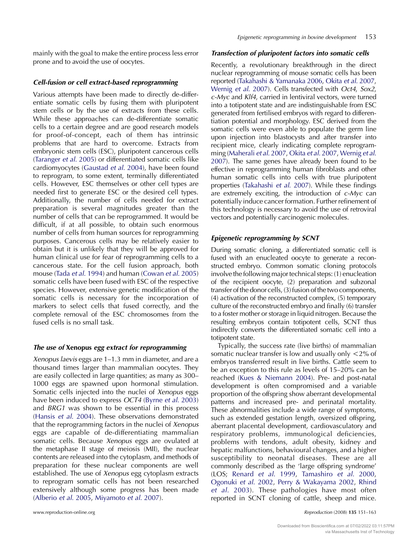mainly with the goal to make the entire process less error prone and to avoid the use of oocytes.

#### Cell-fusion or cell extract-based reprogramming

Various attempts have been made to directly de-differentiate somatic cells by fusing them with pluripotent stem cells or by the use of extracts from these cells. While these approaches can de-differentiate somatic cells to a certain degree and are good research models for proof-of-concept, each of them has intrinsic problems that are hard to overcome. Extracts from embryonic stem cells (ESC), pluripotent cancerous cells ([Taranger](#page-12-0) et al. 2005) or differentiated somatic cells like cardiomyocytes ([Gaustad](#page-10-0) et al. 2004), have been found to reprogram, to some extent, terminally differentiated cells. However, ESC themselves or other cell types are needed first to generate ESC or the desired cell types. Additionally, the number of cells needed for extract preparation is several magnitudes greater than the number of cells that can be reprogrammed. It would be difficult, if at all possible, to obtain such enormous number of cells from human sources for reprogramming purposes. Cancerous cells may be relatively easier to obtain but it is unlikely that they will be approved for human clinical use for fear of reprogramming cells to a cancerous state. For the cell fusion approach, both mouse (Tada et al[. 1994](#page-11-0)) and human ([Cowan](#page-10-0) et al. 2005) somatic cells have been fused with ESC of the respective species. However, extensive genetic modification of the somatic cells is necessary for the incorporation of markers to select cells that fused correctly, and the complete removal of the ESC chromosomes from the fused cells is no small task.

#### The use of Xenopus egg extract for reprogramming

Xenopus laevis eggs are 1–1.3 mm in diameter, and are a thousand times larger than mammalian oocytes. They are easily collected in large quantities; as many as 300– 1000 eggs are spawned upon hormonal stimulation. Somatic cells injected into the nuclei of Xenopus eggs have been induced to express OCT4 (Byrne et al[. 2003](#page-10-0)) and BRG1 was shown to be essential in this process (Hansis et al[. 2004\)](#page-10-0). These observations demonstrated that the reprogramming factors in the nuclei of Xenopus eggs are capable of de-differentiating mammalian somatic cells. Because Xenopus eggs are ovulated at the metaphase II stage of meiosis (MII), the nuclear contents are released into the cytoplasm, and methods of preparation for these nuclear components are well established. The use of Xenopus egg cytoplasm extracts to reprogram somatic cells has not been researched extensively although some progress has been made ([Alberio](#page-9-0) et al. 2005, [Miyamoto](#page-11-0) et al. 2007).

#### Transfection of pluripotent factors into somatic cells

Recently, a revolutionary breakthrough in the direct nuclear reprogramming of mouse somatic cells has been reported [\(Takahashi & Yamanaka 2006,](#page-12-0) Okita et al[. 2007](#page-11-0), [Wernig](#page-12-0) et al. 2007). Cells transfected with Oct4, Sox2, c-Myc and Klf4, carried in lentiviral vectors, were turned into a totipotent state and are indistinguishable from ESC generated from fertilised embryos with regard to differentiation potential and morphology. ESC derived from the somatic cells were even able to populate the germ line upon injection into blastocysts and after transfer into recipient mice, clearly indicating complete reprogramming ([Maherali](#page-11-0) et al. 2007, Okita et al[. 2007,](#page-11-0) [Wernig](#page-12-0) et al. [2007](#page-12-0)). The same genes have already been found to be effective in reprogramming human fibroblasts and other human somatic cells into cells with true pluripotent properties [\(Takahashi](#page-12-0) et al. 2007). While these findings are extremely exciting, the introduction of  $c$ -Myc can potentially induce cancer formation. Further refinement of this technology is necessary to avoid the use of retroviral vectors and potentially carcinogenic molecules.

#### Epigenetic reprogramming by SCNT

During somatic cloning, a differentiated somatic cell is fused with an enucleated oocyte to generate a reconstructed embryo. Common somatic cloning protocols involve the following major technical steps: (1) enucleation of the recipient oocyte, (2) preparation and subzonal transfer of the donor cells, (3) fusion of the two components, (4) activation of the reconstructed complex, (5) temporary culture of the reconstructed embryo and finally (6) transfer to a foster mother or storage in liquid nitrogen. Because the resulting embryos contain totipotent cells, SCNT thus indirectly converts the differentiated somatic cell into a totipotent state.

Typically, the success rate (live births) of mammalian somatic nuclear transfer is low and usually only  $\langle 2\% \rangle$  of embryos transferred result in live births. Cattle seem to be an exception to this rule as levels of 15–20% can be reached [\(Kues & Niemann 2004](#page-10-0)). Pre- and post-natal development is often compromised and a variable proportion of the offspring show aberrant developmental patterns and increased pre- and perinatal mortality. These abnormalities include a wide range of symptoms, such as extended gestation length, oversized offspring, aberrant placental development, cardiovasculatory and respiratory problems, immunological deficiencies, problems with tendons, adult obesity, kidney and hepatic malfunctions, behavioural changes, and a higher susceptibility to neonatal diseases. These are all commonly described as the 'large offspring syndrome' (LOS; Renard et al[. 1999,](#page-11-0) [Tamashiro](#page-12-0) et al. 2000, [Ogonuki](#page-11-0) et al. 2002, [Perry & Wakayama 2002,](#page-11-0) [Rhind](#page-11-0) et al[. 2003](#page-11-0)). These pathologies have most often reported in SCNT cloning of cattle, sheep and mice.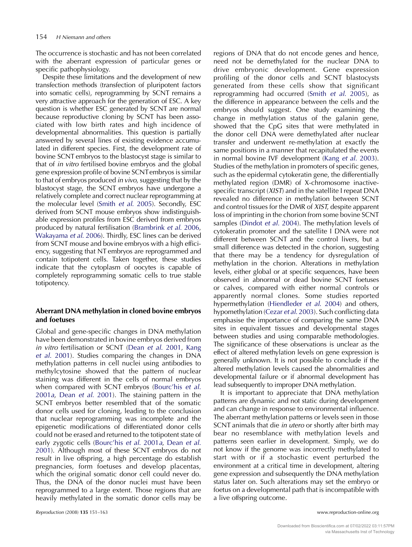The occurrence is stochastic and has not been correlated with the aberrant expression of particular genes or specific pathophysiology.

Despite these limitations and the development of new transfection methods (transfection of pluripotent factors into somatic cells), reprogramming by SCNT remains a very attractive approach for the generation of ESC. A key question is whether ESC generated by SCNT are normal because reproductive cloning by SCNT has been associated with low birth rates and high incidence of developmental abnormalities. This question is partially answered by several lines of existing evidence accumulated in different species. First, the development rate of bovine SCNT embryos to the blastocyst stage is similar to that of in vitro fertilised bovine embryos and the global gene expression profile of bovine SCNTembryos is similar to that of embryos produced in vivo, suggesting that by the blastocyst stage, the SCNT embryos have undergone a relatively complete and correct nuclear reprogramming at the molecular level (Smith et al[. 2005\)](#page-11-0). Secondly, ESC derived from SCNT mouse embryos show indistinguishable expression profiles from ESC derived from embryos produced by natural fertilisation [\(Brambrink](#page-10-0) et al. 2006, [Wakayama](#page-12-0) et al. 2006). Thirdly, ESC lines can be derived from SCNT mouse and bovine embryos with a high efficiency, suggesting that NT embryos are reprogrammed and contain totipotent cells. Taken together, these studies indicate that the cytoplasm of oocytes is capable of completely reprogramming somatic cells to true stable totipotency.

## Aberrant DNA methylation in cloned bovine embryos and foetuses

Global and gene-specific changes in DNA methylation have been demonstrated in bovine embryos derived from in vitro fertilisation or SCNT (Dean et al[. 2001,](#page-10-0) [Kang](#page-10-0) et al[. 2001](#page-10-0)). Studies comparing the changes in DNA methylation patterns in cell nuclei using antibodies to methylcytosine showed that the pattern of nuclear staining was different in the cells of normal embryos when compared with SCNT embryos ([Bourc'his](#page-9-0) et al. [2001](#page-9-0)a, Dean et al[. 2001\)](#page-10-0). The staining pattern in the SCNT embryos better resembled that of the somatic donor cells used for cloning, leading to the conclusion that nuclear reprogramming was incomplete and the epigenetic modifications of differentiated donor cells could not be erased and returned to the totipotent state of early zygotic cells [\(Bourc'his](#page-9-0) et al. 2001a, [Dean](#page-10-0) et al. [2001\)](#page-10-0). Although most of these SCNT embryos do not result in live offspring, a high percentage do establish pregnancies, form foetuses and develop placentas, which the original somatic donor cell could never do. Thus, the DNA of the donor nuclei must have been reprogrammed to a large extent. Those regions that are heavily methylated in the somatic donor cells may be

regions of DNA that do not encode genes and hence, need not be demethylated for the nuclear DNA to drive embryonic development. Gene expression profiling of the donor cells and SCNT blastocysts generated from these cells show that significant reprogramming had occurred (Smith et al[. 2005\)](#page-11-0), as the difference in appearance between the cells and the embryos should suggest. One study examining the change in methylation status of the galanin gene, showed that the CpG sites that were methylated in the donor cell DNA were demethylated after nuclear transfer and underwent re-methylation at exactly the same positions in a manner that recapitulated the events in normal bovine IVF development (Kang et al[. 2003](#page-10-0)). Studies of the methylation in promoters of specific genes, such as the epidermal cytokeratin gene, the differentially methylated region (DMR) of X-chromosome inactivespecific transcript (*XIST*) and in the satellite I repeat DNA revealed no difference in methylation between SCNT and control tissues for the DMR of XIST, despite apparent loss of imprinting in the chorion from some bovine SCNT samples [\(Dindot](#page-10-0) et al. 2004). The methylation levels of cytokeratin promoter and the satellite I DNA were not different between SCNT and the control livers, but a small difference was detected in the chorion, suggesting that there may be a tendency for dysregulation of methylation in the chorion. Alterations in methylation levels, either global or at specific sequences, have been observed in abnormal or dead bovine SCNT foetuses or calves, compared with either normal controls or apparently normal clones. Some studies reported hypermethylation [\(Hiendleder](#page-10-0) et al. 2004) and others, hypomethylation (Cezar et al[. 2003](#page-10-0)). Such conflicting data emphasise the importance of comparing the same DNA sites in equivalent tissues and developmental stages between studies and using comparable methodologies. The significance of these observations is unclear as the effect of altered methylation levels on gene expression is generally unknown. It is not possible to conclude if the altered methylation levels caused the abnormalities and developmental failure or if abnormal development has lead subsequently to improper DNA methylation.

It is important to appreciate that DNA methylation patterns are dynamic and not static during development and can change in response to environmental influence. The aberrant methylation patterns or levels seen in those SCNT animals that die in utero or shortly after birth may bear no resemblance with methylation levels and patterns seen earlier in development. Simply, we do not know if the genome was incorrectly methylated to start with or if a stochastic event perturbed the environment at a critical time in development, altering gene expression and subsequently the DNA methylation status later on. Such alterations may set the embryo or foetus on a developmental path that is incompatible with a live offspring outcome.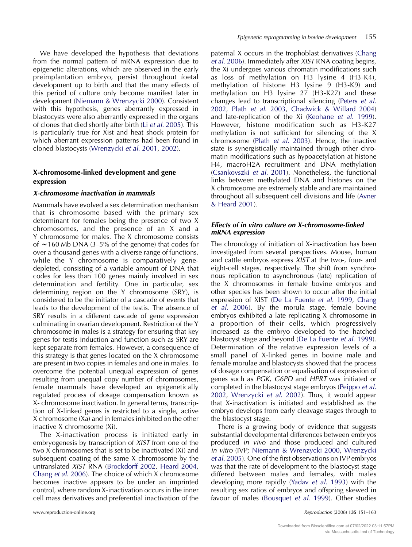We have developed the hypothesis that deviations from the normal pattern of mRNA expression due to epigenetic alterations, which are observed in the early preimplantation embryo, persist throughout foetal development up to birth and that the many effects of this period of culture only become manifest later in development [\(Niemann & Wrenzycki 2000](#page-11-0)). Consistent with this hypothesis, genes aberrantly expressed in blastocysts were also aberrantly expressed in the organs of clones that died shortly after birth (Li et al[. 2005\)](#page-11-0). This is particularly true for Xist and heat shock protein for which aberrant expression patterns had been found in cloned blastocysts ([Wrenzycki](#page-12-0) et al. 2001, [2002](#page-12-0)).

## X-chromosome-linked development and gene expression

#### X-chromosome inactivation in mammals

Mammals have evolved a sex determination mechanism that is chromosome based with the primary sex determinant for females being the presence of two X chromosomes, and the presence of an X and a Y chromosome for males. The X chromosome consists of  $\sim$  160 Mb DNA (3–5% of the genome) that codes for over a thousand genes with a diverse range of functions, while the Y chromosome is comparatively genedepleted, consisting of a variable amount of DNA that codes for less than 100 genes mainly involved in sex determination and fertility. One in particular, sex determining region on the Y chromosome (SRY), is considered to be the initiator of a cascade of events that leads to the development of the testis. The absence of SRY results in a different cascade of gene expression culminating in ovarian development. Restriction of the Y chromosome in males is a strategy for ensuring that key genes for testis induction and function such as SRY are kept separate from females. However, a consequence of this strategy is that genes located on the X chromosome are present in two copies in females and one in males. To overcome the potential unequal expression of genes resulting from unequal copy number of chromosomes, female mammals have developed an epigenetically regulated process of dosage compensation known as X- chromosome inactivation. In general terms, transcription of X-linked genes is restricted to a single, active X chromosome (Xa) and in females inhibited on the other inactive X chromosome (Xi).

The X-inactivation process is initiated early in embryogenesis by transcription of XIST from one of the two X chromosomes that is set to be inactivated (Xi) and subsequent coating of the same X chromosome by the untranslated XIST RNA ([Brockdorff 2002,](#page-10-0) [Heard 2004](#page-10-0), Chang et al[. 2006](#page-10-0)). The choice of which X chromosome becomes inactive appears to be under an imprinted control, where random X-inactivation occurs in the inner cell mass derivatives and preferential inactivation of the

paternal X occurs in the trophoblast derivatives [\(Chang](#page-10-0) et al[. 2006](#page-10-0)). Immediately after XIST RNA coating begins, the Xi undergoes various chromatin modifications such as loss of methylation on H3 lysine 4 (H3-K4), methylation of histone H3 lysine 9 (H3-K9) and methylation on H3 lysine 27 (H3-K27) and these changes lead to transcriptional silencing [\(Peters](#page-11-0) et al. [2002,](#page-11-0) Plath et al[. 2003,](#page-11-0) [Chadwick & Willard 2004](#page-10-0)) and late-replication of the Xi [\(Keohane](#page-10-0) et al. 1999). However, histone modification such as H3-K27 methylation is not sufficient for silencing of the X chromosome (Plath et al[. 2003](#page-11-0)). Hence, the inactive state is synergistically maintained through other chromatin modifications such as hypoacetylation at histone H4, macroH2A recruitment and DNA methylation ([Csankovszki](#page-10-0) et al. 2001). Nonetheless, the functional links between methylated DNA and histones on the X chromosome are extremely stable and are maintained throughout all subsequent cell divisions and life ([Avner](#page-9-0) [& Heard 2001\)](#page-9-0).

#### Effects of in vitro culture on X-chromosome-linked mRNA expression

The chronology of initiation of X-inactivation has been investigated from several perspectives. Mouse, human and cattle embryos express XIST at the two-, four- and eight-cell stages, respectively. The shift from synchronous replication to asynchronous (late) replication of the X chromosomes in female bovine embryos and other species has been shown to occur after the initial expression of XIST [\(De La Fuente](#page-10-0) et al. 1999, [Chang](#page-10-0) et al[. 2006](#page-10-0)). By the morula stage, female bovine embryos exhibited a late replicating X chromosome in a proportion of their cells, which progressively increased as the embryo developed to the hatched blastocyst stage and beyond [\(De La Fuente](#page-10-0) et al. 1999). Determination of the relative expression levels of a small panel of X-linked genes in bovine male and female morulae and blastocysts showed that the process of dosage compensation or equalisation of expression of genes such as PGK, G6PD and HPRT was initiated or completed in the blastocyst stage embryos ([Peippo](#page-11-0) et al. [2002,](#page-11-0) [Wrenzycki](#page-12-0) et al. 2002). Thus, it would appear that X-inactivation is initiated and established as the embryo develops from early cleavage stages through to the blastocyst stage.

There is a growing body of evidence that suggests substantial developmental differences between embryos produced in vivo and those produced and cultured in vitro (IVP; [Niemann & Wrenzycki 2000,](#page-11-0) [Wrenzycki](#page-12-0) et al[. 2005\)](#page-12-0). One of the first observations on IVP embryos was that the rate of development to the blastocyst stage differed between males and females, with males developing more rapidly (Yadav et al[. 1993\)](#page-12-0) with the resulting sex ratios of embryos and offspring skewed in favour of males [\(Bousquet](#page-10-0) et al. 1999). Other studies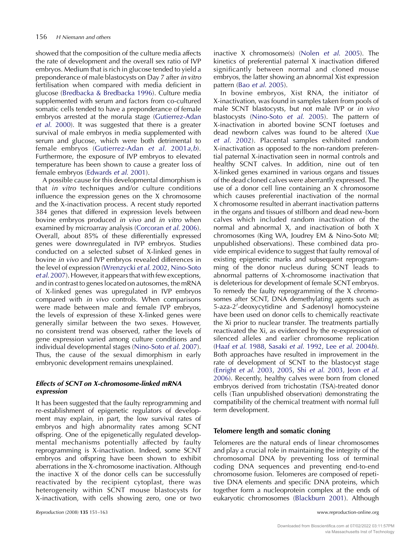showed that the composition of the culture media affects the rate of development and the overall sex ratio of IVP embryos. Medium that is rich in glucose tended to yield a preponderance of male blastocysts on Day 7 after in vitro fertilisation when compared with media deficient in glucose [\(Bredbacka & Bredbacka 1996](#page-10-0)). Culture media supplemented with serum and factors from co-cultured somatic cells tended to have a preponderance of female embryos arrested at the morula stage [\(Gutierrez-Adan](#page-10-0) et al[. 2000](#page-10-0)). It was suggested that there is a greater survival of male embryos in media supplemented with serum and glucose, which were both detrimental to female embryos ([Gutierrez-Adan](#page-10-0) et al. 2001a,b). Furthermore, the exposure of IVP embryos to elevated temperature has been shown to cause a greater loss of female embryos ([Edwards](#page-10-0) et al. 2001).

A possible cause for this developmental dimorphism is that in vitro techniques and/or culture conditions influence the expression genes on the X chromosome and the X-inactivation process. A recent study reported 384 genes that differed in expression levels between bovine embryos produced in vivo and in vitro when examined by microarray analysis [\(Corcoran](#page-10-0) et al. 2006). Overall, about 85% of these differentially expressed genes were downregulated in IVP embryos. Studies conducted on a selected subset of X-linked genes in bovine in vivo and IVP embryos revealed differences in the level of expression [\(Wrenzycki](#page-12-0) et al. 2002, [Nino-Soto](#page-11-0) et al[. 2007\)](#page-11-0). However, it appears that with few exceptions, and in contrast to genes located on autosomes, the mRNA of X-linked genes was upregulated in IVP embryos compared with in vivo controls. When comparisons were made between male and female IVP embryos, the levels of expression of these X-linked genes were generally similar between the two sexes. However, no consistent trend was observed, rather the levels of gene expression varied among culture conditions and individual developmental stages ([Nino-Soto](#page-11-0) et al. 2007). Thus, the cause of the sexual dimorphism in early embryonic development remains unexplained.

### Effects of SCNT on X-chromosome-linked mRNA expression

It has been suggested that the faulty reprogramming and re-establishment of epigenetic regulators of development may explain, in part, the low survival rates of embryos and high abnormality rates among SCNT offspring. One of the epigenetically regulated developmental mechanisms potentially affected by faulty reprogramming is X-inactivation. Indeed, some SCNT embryos and offspring have been shown to exhibit aberrations in the X-chromosome inactivation. Although the inactive X of the donor cells can be successfully reactivated by the recipient cytoplast, there was heterogeneity within SCNT mouse blastocysts for X-inactivation, with cells showing zero, one or two

inactive X chromosome(s) (Nolen et al[. 2005](#page-11-0)). The kinetics of preferential paternal X inactivation differed significantly between normal and cloned mouse embryos, the latter showing an abnormal Xist expression pattern (Bao et al[. 2005](#page-9-0)).

In bovine embryos, Xist RNA, the initiator of X-inactivation, was found in samples taken from pools of male SCNT blastocysts, but not male IVP or in vivo blastocysts [\(Nino-Soto](#page-11-0) et al. 2005). The pattern of X-inactivation in aborted bovine SCNT foetuses and dead newborn calves was found to be altered [\(Xue](#page-12-0) et al[. 2002\)](#page-12-0). Placental samples exhibited random X-inactivation as opposed to the non-random preferential paternal X-inactivation seen in normal controls and healthy SCNT calves. In addition, nine out of ten X-linked genes examined in various organs and tissues of the dead cloned calves were aberrantly expressed. The use of a donor cell line containing an X chromosome which causes preferential inactivation of the normal X chromosome resulted in aberrant inactivation patterns in the organs and tissues of stillborn and dead new-born calves which included random inactivation of the normal and abnormal X, and inactivation of both X chromosomes (King WA, Joudrey EM & Nino-Soto MI; unpublished observations). These combined data provide empirical evidence to suggest that faulty removal of existing epigenetic marks and subsequent reprogramming of the donor nucleus during SCNT leads to abnormal patterns of X-chromosome inactivation that is deleterious for development of female SCNT embryos. To remedy the faulty reprogramming of the X chromosomes after SCNT, DNA demethylating agents such as 5-aza-2'-deoxycytidine and S-adenosyl homocysteine have been used on donor cells to chemically reactivate the Xi prior to nuclear transfer. The treatments partially reactivated the Xi, as evidenced by the re-expression of silenced alleles and earlier chromosome replication (Haaf et al[. 1988](#page-10-0), Sasaki et al[. 1992](#page-11-0), Lee et al[. 2004](#page-11-0)b). Both approaches have resulted in improvement in the rate of development of SCNT to the blastocyst stage [\(Enright](#page-10-0) et al. 2003, [2005,](#page-10-0) Shi et al[. 2003,](#page-11-0) Jeon [et al](#page-10-0). [2006\)](#page-10-0). Recently, healthy calves were born from cloned embryos derived from trichostatin (TSA)-treated donor cells (Tian unpublished observation) demonstrating the compatibility of the chemical treatment with normal full term development.

## Telomere length and somatic cloning

Telomeres are the natural ends of linear chromosomes and play a crucial role in maintaining the integrity of the chromosomal DNA by preventing loss of terminal coding DNA sequences and preventing end-to-end chromosome fusion. Telomeres are composed of repetitive DNA elements and specific DNA proteins, which together form a nucleoprotein complex at the ends of eukaryotic chromosomes [\(Blackburn 2001](#page-9-0)). Although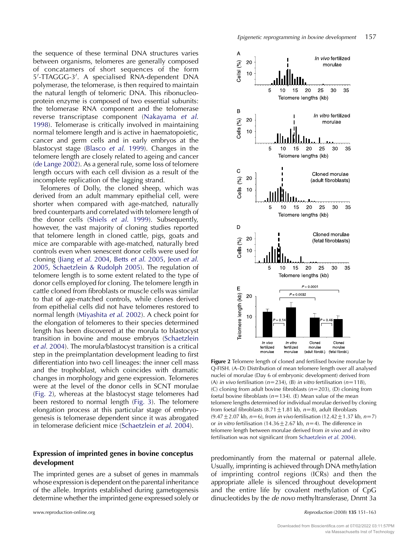the sequence of these terminal DNA structures varies between organisms, telomeres are generally composed of concatamers of short sequences of the form 5'-TTAGGG-3'. A specialised RNA-dependent DNA polymerase, the telomerase, is then required to maintain the natural length of telomeric DNA. This ribonucleoprotein enzyme is composed of two essential subunits: the telomerase RNA component and the telomerase reverse transcriptase component ([Nakayama](#page-11-0) et al. [1998\)](#page-11-0). Telomerase is critically involved in maintaining normal telomere length and is active in haematopoietic, cancer and germ cells and in early embryos at the blastocyst stage (Blasco et al[. 1999](#page-9-0)). Changes in the telomere length are closely related to ageing and cancer ([de Lange 2002\)](#page-10-0). As a general rule, some loss of telomere length occurs with each cell division as a result of the incomplete replication of the lagging strand.

Telomeres of Dolly, the cloned sheep, which was derived from an adult mammary epithelial cell, were shorter when compared with age-matched, naturally bred counterparts and correlated with telomere length of the donor cells (Shiels et al[. 1999\)](#page-11-0). Subsequently, however, the vast majority of cloning studies reported that telomere length in cloned cattle, pigs, goats and mice are comparable with age-matched, naturally bred controls even when senescent donor cells were used for cloning (Jiang et al[. 2004](#page-10-0), Betts et al[. 2005](#page-9-0), Jeon [et al](#page-10-0). [2005,](#page-10-0) [Schaetzlein & Rudolph 2005\)](#page-11-0). The regulation of telomere length is to some extent related to the type of donor cells employed for cloning. The telomere length in cattle cloned from fibroblasts or muscle cells was similar to that of age-matched controls, while clones derived from epithelial cells did not have telomeres restored to normal length [\(Miyashita](#page-11-0) et al. 2002). A check point for the elongation of telomeres to their species determined length has been discovered at the morula to blastocyst transition in bovine and mouse embryos ([Schaetzlein](#page-11-0) et al[. 2004\)](#page-11-0). The morula/blastocyst transition is a critical step in the preimplantation development leading to first differentiation into two cell lineages: the inner cell mass and the trophoblast, which coincides with dramatic changes in morphology and gene expression. Telomeres were at the level of the donor cells in SCNT morulae (Fig. 2), whereas at the blastocyst stage telomeres had been restored to normal length ([Fig. 3](#page-7-0)). The telomere elongation process at this particular stage of embryogenesis is telomerase dependent since it was abrogated in telomerase deficient mice ([Schaetzlein](#page-11-0) et al. 2004).

## Expression of imprinted genes in bovine conceptus development

The imprinted genes are a subset of genes in mammals whose expression is dependent on the parental inheritance of the allele. Imprints established during gametogenesis determine whether the imprinted gene expressed solely or



Figure 2 Telomere length of cloned and fertilised bovine morulae by Q-FISH. (A–D) Distribution of mean telomere length over all analysed nuclei of morulae (Day 6 of embryonic development) derived from (A) in vivo fertilisation ( $n=234$ ), (B) in vitro fertilisation ( $n=118$ ), (C) cloning from adult bovine fibroblasts ( $n=203$ ), (D) cloning from foetal bovine fibroblasts ( $n=134$ ). (E) Mean value of the mean telomere lengths determined for individual morulae derived by cloning from foetal fibroblasts (8.71 $\pm$ 1.81 kb, n=8), adult fibroblasts  $(9.47\pm2.07 \text{ kb}, n=6)$ , from *in vivo* fertilisation  $(12.42\pm1.37 \text{ kb}, n=7)$ or *in vitro* fertilisation (14.36 $\pm$ 2.67 kb, n=4). The difference in telomere length between morulae derived from *in vivo* and *in vitro* fertilisation was not significant (from [Schaetzlein](#page-11-0) et al. 2004).

predominantly from the maternal or paternal allele. Usually, imprinting is achieved through DNA methylation of imprinting control regions (ICRs) and then the appropriate allele is silenced throughout development and the entire life by covalent methylation of CpG dinucleotides by the de novo methyltransferase, Dnmt 3a

www.reproduction-online.org **Reproduction (2008)** 135 151-163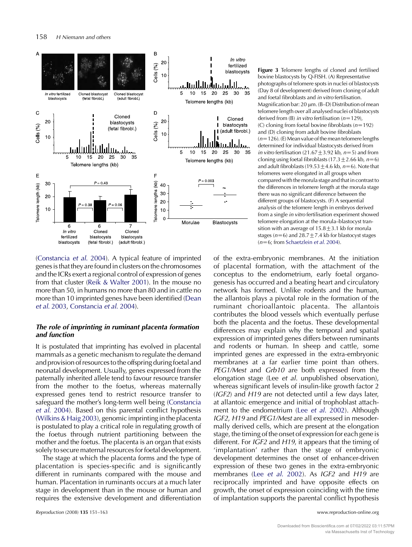<span id="page-7-0"></span>

Figure 3 Telomere lengths of cloned and fertilised bovine blastocysts by Q-FISH. (A) Representative photographs of telomere spots in nuclei of blastocysts (Day 8 of development) derived from cloning of adult and foetal fibroblasts and in vitro fertilisation. Magnification bar: 20 μm. (B–D) Distribution of mean telomere length over all analysed nuclei of blastocysts derived from (B) in vitro fertilisation ( $n=129$ ), (C) cloning from foetal bovine fibroblasts ( $n=192$ ) and (D) cloning from adult bovine fibroblasts  $(n=126)$ . (E) Mean value of the mean telomere lengths determined for individual blastocysts derived from in vitro fertilisation (21.67 $\pm$ 3.92 kb, n=5) and from cloning using foetal fibroblasts (17.3  $\pm$  2.66 kb, n=6) and adult fibroblasts (19.53  $\pm$  4.6 kb, n=6). Note that telomeres were elongated in all groups when comparedwith the morula stageand that incontrastto the differences in telomere length at the morula stage there was no significant difference between the different groups of blastocysts. (F) A sequential analysis of the telomere length in embryos derived from a single in vitro fertilisation experiment showed telomere elongation at the morula–blastocyst transition with an average of  $15.8 \pm 3.1$  kb for morula stages ( $n=6$ ) and 28.7 + 7.4 kb for blastocyst stages  $(n=6;$  from [Schaetzlein](#page-11-0) et al. 2004).

[\(Constancia](#page-10-0) et al. 2004). A typical feature of imprinted genes is that theyare found in clusters on the chromosomes and the ICRs exert a regional control of expression of genes from that cluster [\(Reik & Walter 2001](#page-11-0)). In the mouse no more than 50, in humans no more than 80 and in cattle no more than 10 imprinted genes have been identified ([Dean](#page-10-0) et al[. 2003](#page-10-0), [Constancia](#page-10-0) et al. 2004).

#### The role of imprinting in ruminant placenta formation and function

It is postulated that imprinting has evolved in placental mammals as a genetic mechanism to regulate the demand and provision of resources tothe offspring during foetal and neonatal development. Usually, genes expressed from the paternally inherited allele tend to favour resource transfer from the mother to the foetus, whereas maternally expressed genes tend to restrict resource transfer to safeguard the mother's long-term well being ([Constancia](#page-10-0) et al[. 2004\)](#page-10-0). Based on this parental conflict hypothesis [\(Wilkins & Haig 2003](#page-12-0)), genomic imprinting in the placenta is postulated to play a critical role in regulating growth of the foetus through nutrient partitioning between the mother and the foetus. The placenta is an organ that exists solely to secure maternal resources for foetal development.

The stage at which the placenta forms and the type of placentation is species-specific and is significantly different in ruminants compared with the mouse and human. Placentation in ruminants occurs at a much later stage in development than in the mouse or human and requires the extensive development and differentiation

of the extra-embryonic membranes. At the initiation of placental formation, with the attachment of the conceptus to the endometrium, early foetal organogenesis has occurred and a beating heart and circulatory network has formed. Unlike rodents and the human, the allantois plays a pivotal role in the formation of the ruminant chorioallantoic placenta. The allantois contributes the blood vessels which eventually perfuse both the placenta and the foetus. These developmental differences may explain why the temporal and spatial expression of imprinted genes differs between ruminants and rodents or human. In sheep and cattle, some imprinted genes are expressed in the extra-embryonic membranes at a far earlier time point than others. PEG1/Mest and Grb10 are both expressed from the elongation stage (Lee et al. unpublished observation), whereas significant levels of insulin-like growth factor 2 (IGF2) and H19 are not detected until a few days later, at allantoic emergence and initial of trophoblast attachment to the endometrium (Lee et al[. 2002](#page-11-0)). Although IGF2, H19 and PEG1/Mest are all expressed in mesodermally derived cells, which are present at the elongation stage, the timing of the onset of expression for each gene is different. For IGF2 and H19, it appears that the timing of 'implantation' rather than the stage of embryonic development determines the onset of enhancer-driven expression of these two genes in the extra-embryonic membranes (Lee et al[. 2002\)](#page-11-0). As IGF2 and H19 are reciprocally imprinted and have opposite effects on growth, the onset of expression coinciding with the time of implantation supports the parental conflict hypothesis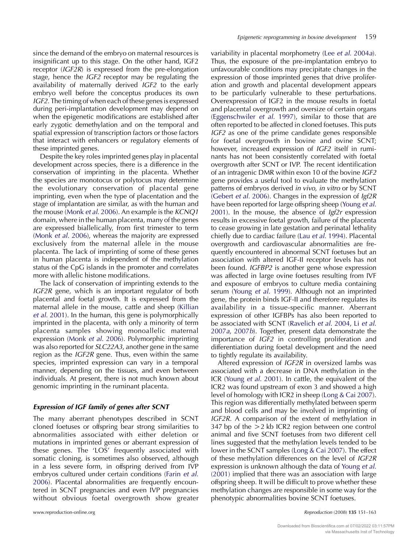since the demand of the embryo on maternal resources is insignificant up to this stage. On the other hand, IGF2 receptor (IGF2R) is expressed from the pre-elongation stage, hence the IGF2 receptor may be regulating the availability of maternally derived IGF2 to the early embryo well before the conceptus produces its own IGF2. The timing of when each of these genes is expressed during peri-implantation development may depend on when the epigenetic modifications are established after early zygotic demethylation and on the temporal and spatial expression of transcription factors or those factors that interact with enhancers or regulatory elements of these imprinted genes.

Despite the key roles imprinted genes play in placental development across species, there is a difference in the conservation of imprinting in the placenta. Whether the species are monotocus or polytocus may determine the evolutionary conservation of placental gene imprinting, even when the type of placentation and the stage of implantation are similar, as with the human and the mouse (Monk et al[. 2006\)](#page-11-0). An example is the KCNQ1 domain, where in the human placenta, many of the genes are expressed biallelically, from first trimester to term (Monk et al[. 2006\)](#page-11-0), whereas the majority are expressed exclusively from the maternal allele in the mouse placenta. The lack of imprinting of some of these genes in human placenta is independent of the methylation status of the CpG islands in the promoter and correlates more with allelic histone modifications.

The lack of conservation of imprinting extends to the IGF2R gene, which is an important regulator of both placental and foetal growth. It is expressed from the maternal allele in the mouse, cattle and sheep [\(Killian](#page-10-0) et al[. 2001](#page-10-0)). In the human, this gene is polymorphically imprinted in the placenta, with only a minority of term placenta samples showing monoallelic maternal expression (Monk et al[. 2006](#page-11-0)). Polymorphic imprinting was also reported for SLC22A3, another gene in the same region as the IGF2R gene. Thus, even within the same species, imprinted expression can vary in a temporal manner, depending on the tissues, and even between individuals. At present, there is not much known about genomic imprinting in the ruminant placenta.

#### Expression of IGF family of genes after SCNT

The many aberrant phenotypes described in SCNT cloned foetuses or offspring bear strong similarities to abnormalities associated with either deletion or mutations in imprinted genes or aberrant expression of these genes. The 'LOS' frequently associated with somatic cloning, is sometimes also observed, although in a less severe form, in offspring derived from IVP embryos cultured under certain conditions [\(Farin](#page-10-0) et al. [2006\)](#page-10-0). Placental abnormalities are frequently encountered in SCNT pregnancies and even IVP pregnancies without obvious foetal overgrowth show greater

variability in placental morphometry (Lee et al[. 2004](#page-11-0)a). Thus, the exposure of the pre-implantation embryo to unfavourable conditions may precipitate changes in the expression of those imprinted genes that drive proliferation and growth and placental development appears to be particularly vulnerable to these perturbations. Overexpression of IGF2 in the mouse results in foetal and placental overgrowth and oversize of certain organs ([Eggenschwiler](#page-10-0) et al. 1997), similar to those that are often reported to be affected in cloned foetuses. This puts IGF2 as one of the prime candidate genes responsible for foetal overgrowth in bovine and ovine SCNT; however, increased expression of IGF2 itself in ruminants has not been consistently correlated with foetal overgrowth after SCNT or IVP. The recent identification of an intragenic DMR within exon 10 of the bovine IGF2 gene provides a useful tool to evaluate the methylation patterns of embryos derived in vivo, in vitro or by SCNT ([Gebert](#page-10-0) et al. 2006). Changes in the expression of Igf2R have been reported for large offspring sheep ([Young](#page-12-0) et al. [2001\)](#page-12-0). In the mouse, the absence of  $Igf2r$  expression results in excessive foetal growth, failure of the placenta to cease growing in late gestation and perinatal lethality chiefly due to cardiac failure (Lau et al[. 1994](#page-11-0)). Placental overgrowth and cardiovascular abnormalities are frequently encountered in abnormal SCNT foetuses but an association with altered IGF-II receptor levels has not been found. IGFBP2 is another gene whose expression was affected in large ovine foetuses resulting from IVF and exposure of embryos to culture media containing serum (Young et al[. 1999\)](#page-12-0). Although not an imprinted gene, the protein binds IGF-II and therefore regulates its availability in a tissue-specific manner. Aberrant expression of other IGFBPs has also been reported to be associated with SCNT ([Ravelich](#page-11-0) et al. 2004, Li [et al](#page-11-0). [2007](#page-11-0)a, [2007](#page-11-0)b). Together, present data demonstrate the importance of IGF2 in controlling proliferation and differentiation during foetal development and the need to tightly regulate its availability.

Altered expression of IGF2R in oversized lambs was associated with a decrease in DNA methylation in the ICR (Young et al[. 2001\)](#page-12-0). In cattle, the equivalent of the ICR2 was found upstream of exon 3 and showed a high level of homology with ICR2 in sheep [\(Long & Cai 2007](#page-11-0)). This region was differentially methylated between sperm and blood cells and may be involved in imprinting of IGF2R. A comparison of the extent of methylation in 347 bp of the  $>$  2 kb ICR2 region between one control animal and five SCNT foetuses from two different cell lines suggested that the methylation levels tended to be lower in the SCNT samples [\(Long & Cai 2007](#page-11-0)). The effect of these methylation differences on the level of IGF2R expression is unknown although the data of [Young](#page-12-0) et al. [\(2001\)](#page-12-0) implied that there was an association with large offspring sheep. It will be difficult to prove whether these methylation changes are responsible in some way for the phenotypic abnormalities bovine SCNT foetuses.

www.reproduction-online.org Reproduction (2008) 135 151–163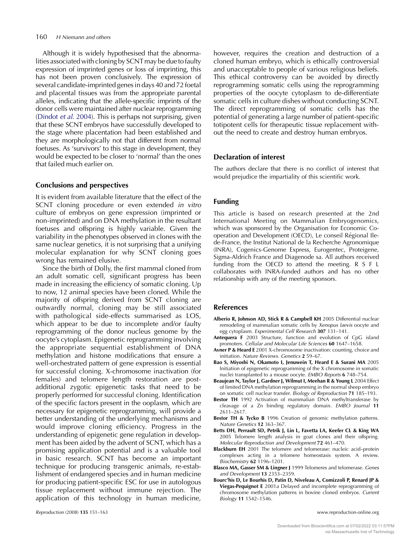<span id="page-9-0"></span>Although it is widely hypothesised that the abnormalities associated with cloning by SCNT may be due to faulty expression of imprinted genes or loss of imprinting, this has not been proven conclusively. The expression of several candidate-imprinted genes in days 40 and 72 foetal and placental tissues was from the appropriate parental alleles, indicating that the allele-specific imprints of the donor cells were maintained after nuclear reprogramming [\(Dindot](#page-10-0) et al. 2004). This is perhaps not surprising, given that these SCNT embryos have successfully developed to the stage where placentation had been established and they are morphologically not that different from normal foetuses. As 'survivors' to this stage in development, they would be expected to be closer to 'normal' than the ones that failed much earlier on.

#### Conclusions and perspectives

It is evident from available literature that the effect of the SCNT cloning procedure or even extended in vitro culture of embryos on gene expression (imprinted or non-imprinted) and on DNA methylation in the resultant foetuses and offspring is highly variable. Given the variability in the phenotypes observed in clones with the same nuclear genetics, it is not surprising that a unifying molecular explanation for why SCNT cloning goes wrong has remained elusive.

Since the birth of Dolly, the first mammal cloned from an adult somatic cell, significant progress has been made in increasing the efficiency of somatic cloning. Up to now, 12 animal species have been cloned. While the majority of offspring derived from SCNT cloning are outwardly normal, cloning may be still associated with pathological side-effects summarised as LOS, which appear to be due to incomplete and/or faulty reprogramming of the donor nucleus genome by the oocyte's cytoplasm. Epigenetic reprogramming involving the appropriate sequential establishment of DNA methylation and histone modifications that ensure a well-orchestrated pattern of gene expression is essential for successful cloning. X-chromosome inactivation (for females) and telomere length restoration are postadditional zygotic epigenetic tasks that need to be properly performed for successful cloning. Identification of the specific factors present in the ooplasm, which are necessary for epigenetic reprogramming, will provide a better understanding of the underlying mechanisms and would improve cloning efficiency. Progress in the understanding of epigenetic gene regulation in development has been aided by the advent of SCNT, which has a promising application potential and is a valuable tool in basic research. SCNT has become an important technique for producing transgenic animals, re-establishment of endangered species and in human medicine for producing patient-specific ESC for use in autologous tissue replacement without immune rejection. The application of this technology in human medicine,

however, requires the creation and destruction of a cloned human embryo, which is ethically controversial and unacceptable to people of various religious beliefs. This ethical controversy can be avoided by directly reprogramming somatic cells using the reprogramming properties of the oocyte cytoplasm to de-differentiate somatic cells in culture dishes without conducting SCNT. The direct reprogramming of somatic cells has the potential of generating a large number of patient-specific totipotent cells for therapeutic tissue replacement without the need to create and destroy human embryos.

#### Declaration of interest

The authors declare that there is no conflict of interest that would prejudice the impartiality of this scientific work.

#### Funding

This article is based on research presented at the 2nd International Meeting on Mammalian Embryogenomics, which was sponsored by the Organisation for Economic Cooperation and Development (OECD), Le conseil Régional Ilede-France, the Institut National de la Recherche Agronomique (INRA), Cogenics-Genome Express, Eurogentec, Proteigene, Sigma-Aldrich France and Diagenode sa. All authors received funding from the OECD to attend the meeting. R S F L collaborates with INRA-funded authors and has no other relationship with any of the meeting sponsors.

#### References

- Alberio R, Johnson AD, Stick R & Campbell KH 2005 Differential nuclear remodeling of mammalian somatic cells by Xenopus laevis oocyte and egg cytoplasm. Experimental Cell Research 307 131-141.
- Antequera F 2003 Structure, function and evolution of CpG island promoters. Cellular and Molecular Life Sciences 60 1647–1658.
- Avner P & Heard E 2001 X-chromosome inactivation: counting, choice and initiation. Nature Reviews. Genetics 2 59–67.
- Bao S, Miyoshi N, Okamoto I, Jenuwein T, Heard E & Surani MA 2005 Initiation of epigenetic reprogramming of the X chromosome in somatic nuclei transplanted to a mouse oocyte. EMBO Reports 6 748–754.
- Beaujean N, Taylor J, Gardner J, Wilmut I, Meehan R & Young L 2004 Effect of limited DNA methylation reprogramming in the normal sheep embryo on somatic cell nuclear transfer. Biology of Reproduction 71 185–193.
- Bestor TH 1992 Activation of mammalian DNA methyltransferase by cleavage of a Zn binding regulatory domain. EMBO Journal 11 2611–2617.
- Bestor TH & Tycko B 1996 Creation of genomic methylation patterns. Nature Genetics 12 363–367.
- Betts DH, Perrault SD, Petrik J, Lin L, Favetta LA, Keefer CL & King WA 2005 Telomere length analysis in goat clones and their offspring. Molecular Reproduction and Development 72 461–470.
- Blackburn EH 2001 The telomere and telomerase: nucleic acid–protein complexes acting in a telomere homeostasis system. A review. Biochemistry 62 1196–1201.
- Blasco MA, Gasser SM & Lingner J 1999 Telomeres and telomerase. Genes and Development 13 2353–2359.
- Bourc'his D, Le Bourhis D, Patin D, Niveleau A, Comizzoli P, Renard JP & Viegas-Pequignot E 2001a Delayed and incomplete reprogramming of chromosome methylation patterns in bovine cloned embryos. Current Biology 11 1542–1546.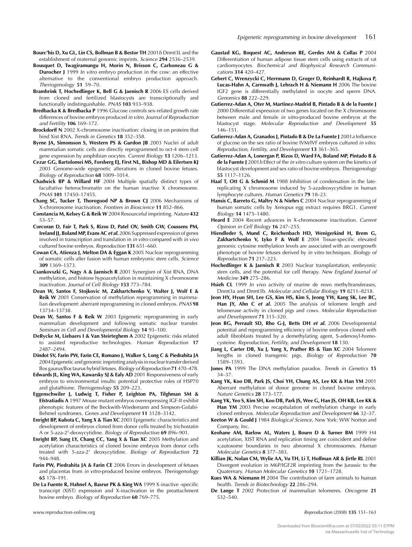- <span id="page-10-0"></span>Bourc'his D, Xu GL, Lin CS, Bollman B & Bestor TH 2001b Dnmt3L and the establishment of maternal genomic imprints. Science 294 2536–2539.
- Bousquet D, Twagiramungu H, Morin N, Brisson C, Carboneau G & **Durocher J** 1999 In vitro embryo production in the cow: an effective alternative to the conventional embryo production approach. Theriogenology 51 59–70.
- Brambrink T, Hochedlinger K, Bell G & Jaenisch R 2006 ES cells derived from cloned and fertilized blastocysts are transcriptionally and functionally indistinguishable. PNAS 103 933–938.
- Bredbacka K & Bredbacka P 1996 Glucose controls sex-related growth rate differences of bovine embryos produced in vitro. Journal of Reproduction and Fertility 106 169–172.
- Brockdorff N 2002 X-chromosome inactivation: closing in on proteins that bind Xist RNA. Trends in Genetics 18 352–358.
- Byrne JA, Simonsson S, Western PS & Gurdon JB 2003 Nuclei of adult mammalian somatic cells are directly reprogrammed to oct-4 stem cell gene expression by amphibian oocytes. Current Biology 13 1206–1213.
- Cezar GG, Bartolomei MS, Forsberg EJ, First NL, Bishop MD & Eilertsen KJ 2003 Genome-wide epigenetic alterations in cloned bovine fetuses. Biology of Reproduction 68 1009–1014.
- Chadwick BP & Willard HF 2004 Multiple spatially distinct types of facultative heterochromatin on the human inactive X chromosome. PNAS 101 17450–17455.
- Chang SC, Tucker T, Thorogood NP & Brown CJ 2006 Mechanisms of X-chromosome inactivation. Frontiers in Bioscience 11 852–866.
- Constancia M, Kelsey G & Reik W 2004 Resourceful imprinting. Nature 432 53–57.
- Corcoran D, Fair T, Park S, Rizos D, Patel OV, Smith GW, Coussens PM, Ireland JJ, Boland MP, Evans AC et al. 2006 Suppressed expression of genes involved in transcription and translation in in vitro compared with in vivo cultured bovine embryos. Reproduction 131 651–660.
- Cowan CA, Atienza J, Melton DA & Eggan K 2005 Nuclear reprogramming of somatic cells after fusion with human embryonic stem cells. Science 309 1369–1373.
- Csankovszki G, Nagy A & Jaenisch R 2001 Synergism of Xist RNA, DNA methylation, and histone hypoacetylation in maintaining X chromosome inactivation. Journal of Cell Biology 153 773–784.
- Dean W, Santos F, Stojkovic M, Zakhartchenko V, Walter J, Wolf E & Reik W 2001 Conservation of methylation reprogramming in mammalian development: aberrant reprogramming in cloned embryos. PNAS 98 13734–13738.
- Dean W, Santos F & Reik W 2003 Epigenetic reprogramming in early mammalian development and following somatic nuclear transfer. Seminars in Cell and Developmental Biology 14 93–100.
- DeRycke M, Liebaers I & Van Steirteghem A 2002 Epigenetic risks related to assisted reproductive technologies. Human Reproduction 17 2487–2494.
- Dindot SV, Farin PW, Farin CE, Romano J, Walker S, Long C & Piedrahita JA 2004 Epigenetic and genomic imprinting analysis in nuclear transfer derived Bos gaurus/Bos taurus hybrid fetuses. Biology of Reproduction 71 470–478.
- Edwards JL, King WA, Kawarsky SJ & Ealy AD 2001 Responsiveness of early embryos to environmental insults: potential protective roles of HSP70 and glutathione. Theriogenology 55 209–223.
- Eggenschwiler J, Ludwig T, Fisher P, Leighton PA, Tilghman SM & Efstratiadis A 1997 Mouse mutant embryos overexpressing IGF-II exhibit phenotypic features of the Beckwith-Wiedemann and Simpson-Golabi-Behmel syndromes. Genes and Development 11 3128–3142.
- Enright BP, Kubota C, Yang X & Tian XC 2003 Epigenetic characteristics and development of embryos cloned from donor cells treated by trichostatin A or 5-aza-2'-deoxycytidine. Biology of Reproduction 69 896-901.
- Enright BP, Sung LY, Chang CC, Yang X & Tian XC 2005 Methylation and acetylation characteristics of cloned bovine embryos from donor cells treated with 5-aza-2' deoxycytidine. Biology of Reproduction  $72$ 944–948.
- Farin PW, Piedrahita JA & Farin CE 2006 Errors in development of fetuses and placentas from in vitro-produced bovine embryos. Theriogenology 65 178–191.
- De La Fuente R, Hahnel A, Basrur PK & King WA 1999 X-inactive -specific transcript (XIST) expression and X-inactivation in the preattachment bovine embryo. Biology of Reproduction 60 769–775.
- Gaustad KG, Boquest AC, Anderson BE, Gerdes AM & Collas P 2004 Differentiation of human adipose tissue stem cells using extracts of rat cardiomyocytes. Biochemical and Biophysical Research Communications 314 420–427.
- Gebert C, Wrenzycki C, Herrmann D, Groger D, Reinhardt R, Hajkova P, Lucas-Hahn A, Carnwath J, Lehrach H & Niemann H 2006 The bovine IGF2 gene is differentially methylated in oocyte and sperm DNA. Genomics 88 222–229.
- Gutierrez-Adan A, Oter M, Martinez-Madrid B, Pintado B & de la Fuente J 2000 Differential expression of two genes located on the X chromosome between male and female in vitro-produced bovine embryos at the blastocyst stage. Molecular Reproduction and Development 55 146–151.
- Gutierrez-Adan A, Granados J, Pintado B & De La Fuente J 2001a Influence of glucose on the sex ratio of bovine IVM/IVF embryos cultured in vitro. Reproduction, Fertility, and Development 13 361–365.
- Gutierrez-Adan A, Lonergan P, Rizos D, Ward FA, Boland MP, Pintado B & de la Fuente J 2001b Effect of the in vitro culture system on the kinetics of blastocyst development and sex ratio of bovine embryos. Theriogenology 55 1117–1126.
- Haaf T, Ott G & Schmid M 1988 Inhibition of condensation in the latereplicating X chromosome induced by 5-azadeoxycytidine in human lymphocyte cultures. Human Genetics 79 18–23.
- Hansis C, Barreto G, Maltry N & Niehrs C 2004 Nuclear reprogramming of human somatic cells by Xenopus egg extract requires BRG1. Current Biology 14 1475–1480.
- Heard E 2004 Recent advances in X-chromosome inactivation. Current Opinion in Cell Biology 16 247–255.
- Hiendleder S, Mund C, Reichenbach HD, Wenigerkind H, Brem G, Zakhartchenko V, Lyko F & Wolf E 2004 Tissue-specific elevated genomic cytosine methylation levels are associated with an overgrowth phenotype of bovine fetuses derived by in vitro techniques. Biology of Reproduction 71 217–223.
- Hochedlinger K & Jaenisch R 2003 Nuclear transplantation, embryonic stem cells, and the potential for cell therapy. New England Journal of Medicine 349 275–286.
- Hsieh CL 1999 In vivo activity of murine de novo methyltransferases, Dnmt3a and Dnmt3b. Molecular and Cellular Biology 19 8211–8218.
- Jeon HY, Hyun SH, Lee GS, Kim HS, Kim S, Jeong YW, Kang SK, Lee BC, Han JY, Ahn C et al. 2005 The analysis of telomere length and telomerase activity in cloned pigs and cows. Molecular Reproduction and Development 71 315–320.
- Jeon BG, Perrault SD, Rho G-J, Betts DH et al. 2006 Developmental potential and reprogramming efficiency of bovine embryos cloned with adult fibroblasts treated by a demethylating agent, S-adenosyl-homocysteine. Reproduction, Fertility, and Development 18 130.
- Jiang L, Carter DB, Xu J, Yang X, Prather RS & Tian XC 2004 Telomere lengths in cloned transgenic pigs. Biology of Reproduction 70 1589–1593.
- Jones PA 1999 The DNA methylation paradox. Trends in Genetics 15 34–37.
- Kang YK, Koo DB, Park JS, Choi YH, Chung AS, Lee KK & Han YM 2001 Aberrant methylation of donor genome in cloned bovine embryos. Nature Genetics 28 173–177.
- Kang YK, Yeo S, Kim SH, Koo DB, Park JS, Wee G, Han JS, OH KB, Lee KK & Han YM 2003 Precise recapitulation of methylation change in early cloned embryos. Molecular Reproduction and Development 66 32–37.
- Keeton W & Gould J 1984 Biological Science, New York: WW Norton and Company, Inc.
- Keohane AM, Barlow AL, Waters J, Bourn D & Turner BM 1999 H4 acetylation, XIST RNA and replication timing are coincident and define x;autosome boundaries in two abnormal X chromosomes. Human Molecular Genetics 8 377–383.
- Killian JK, Nolan CM, Wylie AA, Vu TH, Li T, Hoffman AR & Jirtle RL 2001 Divergent evolution in M6P/IGF2R imprinting from the Jurassic to the Quaternary. Human Molecular Genetics 10 1721–1728.
- Kues WA & Niemann H 2004 The contribution of farm animals to human health. Trends in Biotechnology 22 286–294.
- De Lange T 2002 Protection of mammalian telomeres. Oncogene 21 532–540.

www.reproduction-online.org and the contraction (2008) 135 151-163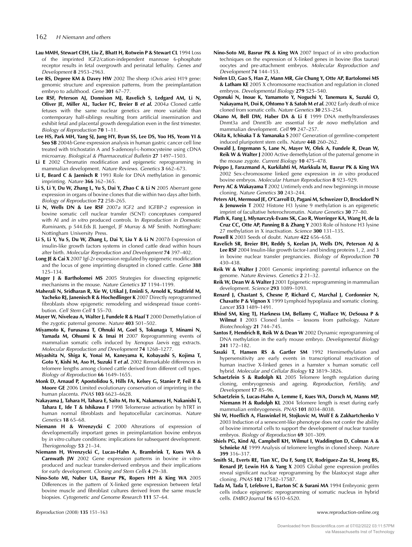#### <span id="page-11-0"></span>162 H Niemann and others

- Lau MMH, Stewart CEH, Liu Z, Bhatt H, Rotwein P & Stewart CL 1994 Loss of the imprinted IGF2/cation-independent mannose 6-phosphate receptor results in fetal overgrowth and perinatal lethality. Genes and Development 8 2953–2963.
- Lee RS, Depree KM & Davey HW 2002 The sheep (Ovis aries) H19 gene: genomic structure and expression patterns, from the preimplantation embryo to adulthood. Gene 301 67–77.
- Lee RSF, Peterson AJ, Donnison MJ, Ravelich S, Ledgard AM, Li N, Oliver JE, Miller AL, Tucker FC, Breier B et al. 2004a Cloned cattle fetuses with the same nuclear genetics are more variable than contemporary half-siblings resulting from artificial insemination and exhibit fetal and placental growth deregulation even in the first trimester. Biology of Reproduction 70 1–11.
- Lee HS, Park MH, Yang SJ, Jung HY, Byun SS, Lee DS, Yoo HS, Yeom YI & Seo SB 2004b Gene expression analysis in human gastric cancer cell line treated with trichostatin A and S-adenosyl-L-homocysteine using cDNA microarray. Biological & Pharmaceutical Bulletin 27 1497–1503.
- Li E 2002 Chromatin modification and epigenetic reprogramming in mammalian development. Nature Reviews. Genetics 3 662–673.
- Li E. Beard C & Jaenisch R 1993 Role for DNA methylation in genomic imprinting. Nature 366 362–365.
- Li S, Li Y, Du W, Zhang L, Yu S, Dai Y, Zhao C & Li N 2005 Aberrant gene expression in organs of bovine clones that die within two days after birth. Biology of Reproduction 72 258–265.
- Li N, Wells DN & Lee RSF 2007a IGF2 and IGFBP-2 expression in bovine somatic cell nuclear transfer (SCNT) conceptuses compared with AI and in vitro produced controls. In Reproduction in Domestic Ruminants, p 544.Eds JL Juengel, JF Murray & MF Smith. Nottingham: Nottingham University Press.
- Li S, Li Y, Yu S, Du W, Zhang L, Dai Y, Liu Y & Li N 2007b Expression of insulin-like growth factors systems in cloned cattle dead within hours after birth. Molecular Reproduction and Development 74 397–402.
- Long JE & Cai X 2007 Igf-2r expression regulated by epigenetic modification and the locus of gene imprinting disrupted in cloned cattle. Gene 388 125–134.
- Mager J & Bartholomei MS 2005 Strategies for dissecting epigenetic mechanisms in the mouse. Nature Genetics 37 1194–1199.
- Maherali N, Sridharan R, Xie W, Utikal J, Eminli S, Arnold K, Stadtfeld M, Yacheko RJ, Janenisch R & Hochedlinger K 2007 Directly reprogrammed fibroblasts show epigenetic remodeling and widespread tissue contribution. Cell Stem Cell 1 55–70.
- Mayer W, Niveleau A, Walter J, Fundele R & Haaf T 2000 Demethylation of the zygotic paternal genome. Nature 403 501–502.
- Miyamoto K, Furusawa T, Ohnuki M, Goel S, Tokunaga T, Minami N, Yamada M, Ohsumi K & Imai H 2007 Reprogramming events of mammalian somatic cells induced by Xenopus laevis egg extracts. Molecular Reproduction and Development 74 1268–1277.
- Miyashita N, Shiga K, Yonai M, Kaneyama K, Kobayashi S, Kojima T, Goto Y, Kishi M, Aso H, Suzuki T et al. 2002 Remarkable differences in telomere lengths among cloned cattle derived from different cell types. Biology of Reproduction 66 1649–1655.
- Monk D, Arnaud P, Apostolidou S, Hills FA, Kelsey G, Stanier P, Feil R & Moore GE 2006 Limited evolutionary conservation of imprinting in the human placenta. PNAS 103 6623–6628.
- Nakayama J, Tahara H, Tahara E, Saito M, Ito K, Nakamura H, Nakanishi T, Tahara E, Ide T & Ishikawa F 1998 Telomerase activation by hTRT in human normal fibroblasts and hepatocellular carcinomas. Nature Genetics 18 65–68.
- Niemann H & Wrenzycki C 2000 Alterations of expression of developmentally important genes in preimplantation bovine embryos by in vitro culture conditions: implications for subsequent development. Theriogenology 53 21–34.
- Niemann H, Wrenzycki C, Lucas-Hahn A, Brambrink T, Kues WA & Carnwath JW 2002 Gene expression patterns in bovine in vitroproduced and nuclear transfer-derived embryos and their implications for early development. Cloning and Stem Cells 4 29–38.
- Nino-Soto MI, Nuber UA, Basrur PK, Ropers HH & King WA 2005 Differences in the pattern of X-linked gene expression between fetal bovine muscle and fibroblast cultures derived from the same muscle biopsies. Cytogenetic and Genome Research 111 57–64.
- Nino-Soto MI, Basrur PK & King WA 2007 Impact of in vitro production techniques on the expression of X-linked genes in bovine (Bos taurus) oocytes and pre-attachment embryos. Molecular Reproduction and Development 74 144–153.
- Nolen LD, Gao S, Han Z, Mann MR, Gie Chung Y, Otte AP, Bartolomei MS & Latham KE 2005 X chromosome reactivation and regulation in cloned embryos. Developmental Biology 279 525–540.
- Ogonuki N, Inoue K, Yamamoto Y, Noguchi Y, Tanemura K, Suzuki O, Nakayama H, Doi K, Ohtomo Y & Satoh M et al. 2002 Early death of mice cloned from somatic cells. Nature Genetics 30 253–254.
- Okano M, Bell DW, Haber DA & Li E 1999 DNA methyltransferases Dnmt3a and Dnmt3b are essential for de novo methylation and mammalian development. Cell 99 247–257.
- Okita K, Ichisaka T & Yamanaka S 2007 Generation of germline-competent induced pluripotent stem cells. Nature 448 260–262.
- Oswald J, Engemann S, Lane N, Mayer W, Olek A, Fundele R, Dean W, Reik W & Walter J 2000 Active demethylation of the paternal genome in the mouse zygote. Current Biology 10 475–478.
- Peippo J, Farazmand A, Kurkilahti M, Markkula M, Basrur PK & King WA 2002 Sex-chromosome linked gene expression in in vitro produced bovine embryos. Molecular Human Reproduction 8 923–929.
- Perry AC & Wakayama T 2002 Untimely ends and new beginnings in mouse cloning. Nature Genetics 30 243–244.
- Peters AH, Mermoud JE, O'Carroll D, Pagani M, Schweizer D, Brockdorff N & Jenuwein T 2002 Histone H3 lysine 9 methylation is an epigenetic imprint of facultative heterochromatin. Nature Genetics 30 77–80.
- Plath K, Fang J, Mlynarczyk-Evans SK, Cao R, Worringer KA, Wang H, de la Cruz CC, Otte AP, Panning B & Zhang Y 2003 Role of histone H3 lysine 27 methylation in X inactivation. Science 300 131–135. Powell K 2003 Seeds of doubt. Nature 422 656–658.
- Ravelich SR, Breier BH, Reddy S, Keelan JA, Wells DN, Peterson AJ & Lee RSF 2004 Insulin-like growth factor-I and binding proteins 1, 2, and 3 in bovine nuclear transfer pregnancies. Biology of Reproduction 70 430–438.
- Reik W & Walter J 2001 Genomic imprinting: parental influence on the genome. Nature Reviews. Genetics 2 21–32.
- Reik W, Dean W & Walter J 2001 Epigenetic reprogramming in mammalian development. Science 293 1089–1093.
- Renard J, Chastant S, Chesne P, Richard C, Marchal J, Cordonnier N, Chavatte P & Vignon X 1999 Lymphoid hypoplasia and somatic cloning. Lancet 353 1489–1491.
- Rhind SM, King TJ, Harkness LM, Bellamy C, Wallace W, DeSousa P & Wilmut I 2003 Cloned lambs - lessons from pathology. Nature Biotechnology 21 744–745.
- Santos F, Hendrich B, Reik W & Dean W 2002 Dynamic reprogramming of DNA methylation in the early mouse embryo. Developmental Biology 241 172–182.
- Sasaki T, Hansen RS & Gartler SM 1992 Hemimethylation and hypersensitivity are early events in transcriptional reactivation of human inactive X-linked genes in a hamster x human somatic cell hybrid. Molecular and Cellular Biology 12 3819–3826.
- Schaetzlein S & Rudolph KL 2005 Telomere length regulation during cloning, embryogenesis and ageing. Reproduction, Fertility, and Development 17 85–96.
- Schaetzlein S, Lucas-Hahn A, Lemme E, Kues WA, Dorsch M, Manns MP, Niemann H & Rudolph KL 2004 Telomere length is reset during early mammalian embryogenesis. PNAS 101 8034–8038.
- Shi W, Hoeflich A, Flaswinkel H, Stojkovic M, Wolf E & Zakhartchenko V 2003 Induction of a senescent-like phenotype does not confer the ability of bovine immortal cells to support the development of nuclear transfer embryos. Biology of Reproduction 69 301–309.
- Shiels PG, Kind AJ, Campbell KH, Wilmut I, Waddington D, Colman A & Schnieke AE 1999 Analysis of telomere lengths in cloned sheep. Nature 399 316–317.
- Smith SL, Everts RE, Tian XC, Du F, Sung LY, Rodriguez-Zas SL, Jeong BS, Renard JP, Lewin HA & Yang X 2005 Global gene expression profiles reveal significant nuclear reprogramming by the blastocyst stage after cloning. PNAS 102 17582–17587.
- Tada M, Tada T, Lefebvre L, Barton SC & Surani MA 1994 Embryonic germ cells induce epigenetic reprogramming of somatic nucleus in hybrid cells. EMBO Journal 16 6510–6520.